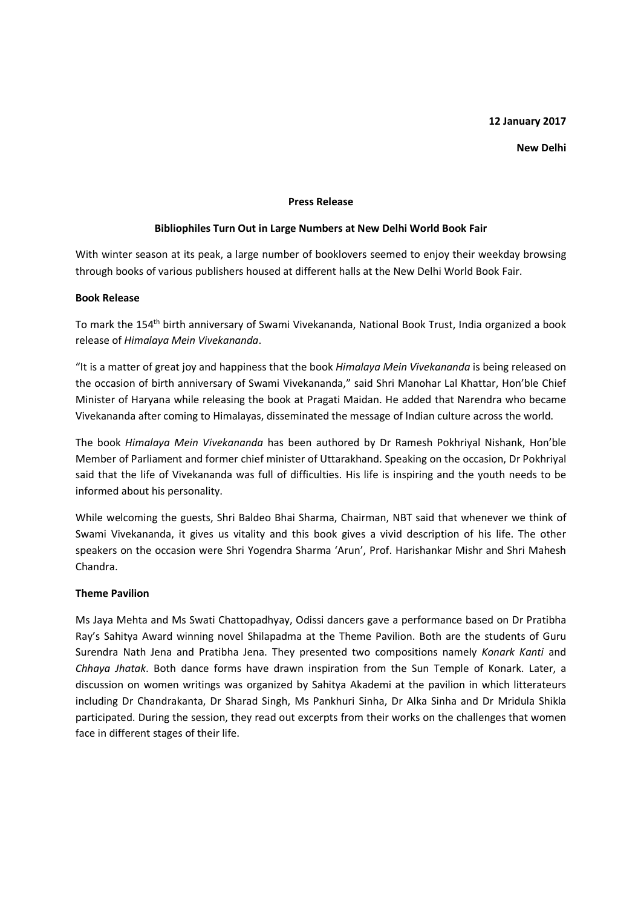## **12 January 2017**

**New Delhi** 

## **Press Release**

## **Bibliophiles Turn Out in Large Numbers at New Delhi World Book Fair**

With winter season at its peak, a large number of booklovers seemed to enjoy their weekday browsing through books of various publishers housed at different halls at the New Delhi World Book Fair.

#### **Book Release**

To mark the 154th birth anniversary of Swami Vivekananda, National Book Trust, India organized a book release of *Himalaya Mein Vivekananda*.

"It is a matter of great joy and happiness that the book *Himalaya Mein Vivekananda* is being released on the occasion of birth anniversary of Swami Vivekananda," said Shri Manohar Lal Khattar, Hon'ble Chief Minister of Haryana while releasing the book at Pragati Maidan. He added that Narendra who became Vivekananda after coming to Himalayas, disseminated the message of Indian culture across the world.

The book *Himalaya Mein Vivekananda* has been authored by Dr Ramesh Pokhriyal Nishank, Hon'ble Member of Parliament and former chief minister of Uttarakhand. Speaking on the occasion, Dr Pokhriyal said that the life of Vivekananda was full of difficulties. His life is inspiring and the youth needs to be informed about his personality.

While welcoming the guests, Shri Baldeo Bhai Sharma, Chairman, NBT said that whenever we think of Swami Vivekananda, it gives us vitality and this book gives a vivid description of his life. The other speakers on the occasion were Shri Yogendra Sharma 'Arun', Prof. Harishankar Mishr and Shri Mahesh Chandra.

# **Theme Pavilion**

Ms Jaya Mehta and Ms Swati Chattopadhyay, Odissi dancers gave a performance based on Dr Pratibha Ray's Sahitya Award winning novel Shilapadma at the Theme Pavilion. Both are the students of Guru Surendra Nath Jena and Pratibha Jena. They presented two compositions namely *Konark Kanti* and *Chhaya Jhatak*. Both dance forms have drawn inspiration from the Sun Temple of Konark. Later, a discussion on women writings was organized by Sahitya Akademi at the pavilion in which litterateurs including Dr Chandrakanta, Dr Sharad Singh, Ms Pankhuri Sinha, Dr Alka Sinha and Dr Mridula Shikla participated. During the session, they read out excerpts from their works on the challenges that women face in different stages of their life.